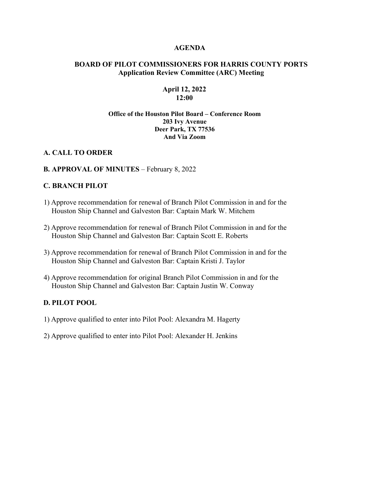#### **AGENDA**

### **BOARD OF PILOT COMMISSIONERS FOR HARRIS COUNTY PORTS Application Review Committee (ARC) Meeting**

### **April 12, 2022 12:00**

#### **Office of the Houston Pilot Board – Conference Room 203 Ivy Avenue Deer Park, TX 77536 And Via Zoom**

### **A. CALL TO ORDER**

### **B. APPROVAL OF MINUTES** – February 8, 2022

### **C. BRANCH PILOT**

- 1) Approve recommendation for renewal of Branch Pilot Commission in and for the Houston Ship Channel and Galveston Bar: Captain Mark W. Mitchem
- 2) Approve recommendation for renewal of Branch Pilot Commission in and for the Houston Ship Channel and Galveston Bar: Captain Scott E. Roberts
- 3) Approve recommendation for renewal of Branch Pilot Commission in and for the Houston Ship Channel and Galveston Bar: Captain Kristi J. Taylor
- 4) Approve recommendation for original Branch Pilot Commission in and for the Houston Ship Channel and Galveston Bar: Captain Justin W. Conway

## **D. PILOT POOL**

- 1) Approve qualified to enter into Pilot Pool: Alexandra M. Hagerty
- 2) Approve qualified to enter into Pilot Pool: Alexander H. Jenkins